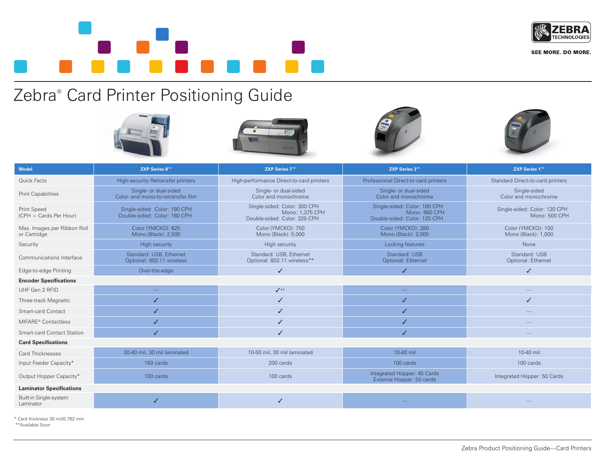

**SEE MORE. DO MORE.** 

Zebra® Card Printer Positioning Guide









| <b>Model</b>                                 | ZXP Series 8™                                                | ZXP Series 7™                                                                   | ZXP Series 3™                                                                 | ZXP Series 1™                                 |
|----------------------------------------------|--------------------------------------------------------------|---------------------------------------------------------------------------------|-------------------------------------------------------------------------------|-----------------------------------------------|
| Quick Facts                                  | High-security Retransfer printers                            | High-performance Direct-to-card printers                                        | Professional Direct-to-card printers                                          | Standard Direct-to-card printers              |
| <b>Print Capabilities</b>                    | Single- or dual-sided<br>Color- and mono-to-retransfer film  | Single- or dual-sided<br>Color and monochrome                                   | Single- or dual-sided<br>Color and monochrome                                 | Single-sided<br>Color and monochrome          |
| <b>Print Speed</b><br>(CPH = Cards Per Hour) | Single-sided: Color: 190 CPH<br>Double-sided: Color: 180 CPH | Single-sided: Color: 300 CPH<br>Mono: 1.375 CPH<br>Double-sided: Color: 225 CPH | Single-sided: Color: 180 CPH<br>Mono: 660 CPH<br>Double-sided: Color: 125 CPH | Single-sided: Color: 120 CPH<br>Mono: 500 CPH |
| Max. Images per Ribbon Roll<br>or Cartridge  | Color (YMCKO): 625<br>Mono (Black): 2,500                    | Color (YMCKO): 750<br>Mono (Black): 5,000                                       | Color (YMCKO): 280<br>Mono (Black): 2,000                                     | Color (YMCKO): 100<br>Mono (Black): 1,000     |
| Security                                     | High security                                                | <b>High security</b>                                                            | Locking features                                                              | None                                          |
| Communications Interface                     | Standard: USB. Ethernet<br>Optional: 802.11 wireless         | Standard: USB, Ethernet<br>Optional: 802.11 wireless**                          | Standard: USB<br>Optional: Ethernet                                           | Standard: USB<br>Optional: Ethernet           |
| Edge-to-edge Printing                        | Over-the-edge                                                | $\checkmark$                                                                    | J                                                                             | J                                             |
| <b>Encoder Specifications</b>                |                                                              |                                                                                 |                                                                               |                                               |
| UHF Gen 2 RFID                               |                                                              | $\checkmark$                                                                    |                                                                               |                                               |
| Three-track Magnetic                         |                                                              | ✓                                                                               | ✓                                                                             | J                                             |
| Smart-card Contact                           |                                                              | ✓                                                                               | ✓                                                                             |                                               |
| MIFARE <sup>®</sup> Contactless              |                                                              |                                                                                 |                                                                               |                                               |
| <b>Smart-card Contact Station</b>            |                                                              |                                                                                 | ✓                                                                             |                                               |
| <b>Card Specifications</b>                   |                                                              |                                                                                 |                                                                               |                                               |
| <b>Card Thicknesses</b>                      | 30-40 mil, 30 mil laminated                                  | 10-50 mil, 30 mil laminated                                                     | 10-40 mil                                                                     | 10-40 mil                                     |
| Input Feeder Capacity*                       | 150 cards                                                    | 200 cards                                                                       | 100 cards                                                                     | 100 cards                                     |
| Output Hopper Capacity*                      | 100 cards                                                    | 100 cards                                                                       | Integrated Hopper: 45 Cards<br>External Hopper: 50 cards                      | Integrated Hopper: 50 Cards                   |
| <b>Laminator Specifications</b>              |                                                              |                                                                                 |                                                                               |                                               |
| Built-in Single-system<br>Laminator          | ✓                                                            | ✓                                                                               |                                                                               |                                               |

\* Card thickness 30 mil/0.762 mm \*\*Available Soon